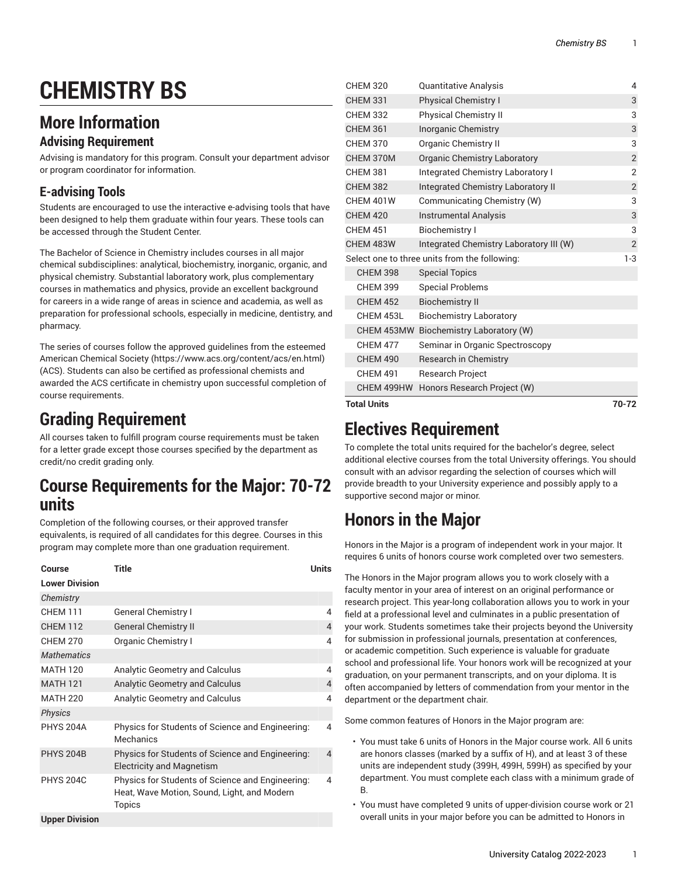# **CHEMISTRY BS**

### **More Information**

### **Advising Requirement**

Advising is mandatory for this program. Consult your department advisor or program coordinator for information.

### **E-advising Tools**

Students are encouraged to use the interactive e-advising tools that have been designed to help them graduate within four years. These tools can be accessed through the Student Center.

The Bachelor of Science in Chemistry includes courses in all major chemical subdisciplines: analytical, biochemistry, inorganic, organic, and physical chemistry. Substantial laboratory work, plus complementary courses in mathematics and physics, provide an excellent background for careers in a wide range of areas in science and academia, as well as preparation for professional schools, especially in medicine, dentistry, and pharmacy.

The series of courses follow the approved guidelines from the esteemed [American Chemical Society \(https://www.acs.org/content/acs/en.html\)](https://www.acs.org/content/acs/en.html) (ACS). Students can also be certified as professional chemists and awarded the ACS certificate in chemistry upon successful completion of course requirements.

# **Grading Requirement**

All courses taken to fulfill program course requirements must be taken for a letter grade except those courses specified by the department as credit/no credit grading only.

### **Course Requirements for the Major: 70-72 units**

Completion of the following courses, or their approved transfer equivalents, is required of all candidates for this degree. Courses in this program may complete more than one graduation requirement.

| Course                | Title                                                                                                     | Units |
|-----------------------|-----------------------------------------------------------------------------------------------------------|-------|
| <b>Lower Division</b> |                                                                                                           |       |
| Chemistry             |                                                                                                           |       |
| <b>CHFM 111</b>       | <b>General Chemistry I</b>                                                                                | 4     |
| <b>CHEM 112</b>       | <b>General Chemistry II</b>                                                                               | 4     |
| <b>CHFM 270</b>       | <b>Organic Chemistry I</b>                                                                                | 4     |
| <b>Mathematics</b>    |                                                                                                           |       |
| <b>MATH 120</b>       | <b>Analytic Geometry and Calculus</b>                                                                     | 4     |
| <b>MATH 121</b>       | <b>Analytic Geometry and Calculus</b>                                                                     | 4     |
| <b>MATH 220</b>       | <b>Analytic Geometry and Calculus</b>                                                                     | 4     |
| <b>Physics</b>        |                                                                                                           |       |
| <b>PHYS 204A</b>      | Physics for Students of Science and Engineering:<br>Mechanics                                             | 4     |
| <b>PHYS 204B</b>      | Physics for Students of Science and Engineering:<br><b>Electricity and Magnetism</b>                      | 4     |
| <b>PHYS 204C</b>      | Physics for Students of Science and Engineering:<br>Heat, Wave Motion, Sound, Light, and Modern<br>Topics | 4     |
| <b>Upper Division</b> |                                                                                                           |       |

| <b>Total Units</b> |                                               | 70-72          |
|--------------------|-----------------------------------------------|----------------|
| CHEM 499HW         | Honors Research Project (W)                   |                |
| <b>CHEM 491</b>    | <b>Research Project</b>                       |                |
| <b>CHEM 490</b>    | <b>Research in Chemistry</b>                  |                |
| <b>CHEM 477</b>    | Seminar in Organic Spectroscopy               |                |
|                    | CHEM 453MW Biochemistry Laboratory (W)        |                |
| CHEM 453L          | <b>Biochemistry Laboratory</b>                |                |
| <b>CHEM 452</b>    | <b>Biochemistry II</b>                        |                |
| <b>CHEM 399</b>    | <b>Special Problems</b>                       |                |
| <b>CHEM 398</b>    | <b>Special Topics</b>                         |                |
|                    | Select one to three units from the following: | $1-3$          |
| CHEM 483W          | Integrated Chemistry Laboratory III (W)       | $\overline{2}$ |
| <b>CHEM 451</b>    | <b>Biochemistry I</b>                         | 3              |
| <b>CHEM 420</b>    | <b>Instrumental Analysis</b>                  | 3              |
| CHEM 401W          | Communicating Chemistry (W)                   | 3              |
| <b>CHEM 382</b>    | Integrated Chemistry Laboratory II            | $\overline{2}$ |
| <b>CHEM 381</b>    | <b>Integrated Chemistry Laboratory I</b>      | 2              |
| CHEM 370M          | <b>Organic Chemistry Laboratory</b>           | $\overline{2}$ |
| <b>CHEM 370</b>    | <b>Organic Chemistry II</b>                   | 3              |
| <b>CHEM 361</b>    | <b>Inorganic Chemistry</b>                    | 3              |
| <b>CHEM 332</b>    | Physical Chemistry II                         | 3              |
| <b>CHEM 331</b>    | Physical Chemistry I                          | 3              |
| <b>CHEM 320</b>    | Quantitative Analysis                         | 4              |

### **Electives Requirement**

To complete the total units required for the bachelor's degree, select additional elective courses from the total University offerings. You should consult with an advisor regarding the selection of courses which will provide breadth to your University experience and possibly apply to a supportive second major or minor.

## **Honors in the Major**

Honors in the Major is a program of independent work in your major. It requires 6 units of honors course work completed over two semesters.

The Honors in the Major program allows you to work closely with a faculty mentor in your area of interest on an original performance or research project. This year-long collaboration allows you to work in your field at a professional level and culminates in a public presentation of your work. Students sometimes take their projects beyond the University for submission in professional journals, presentation at conferences, or academic competition. Such experience is valuable for graduate school and professional life. Your honors work will be recognized at your graduation, on your permanent transcripts, and on your diploma. It is often accompanied by letters of commendation from your mentor in the department or the department chair.

Some common features of Honors in the Major program are:

- You must take 6 units of Honors in the Major course work. All 6 units are honors classes (marked by a suffix of H), and at least 3 of these units are independent study (399H, 499H, 599H) as specified by your department. You must complete each class with a minimum grade of B.
- You must have completed 9 units of upper-division course work or 21 overall units in your major before you can be admitted to Honors in